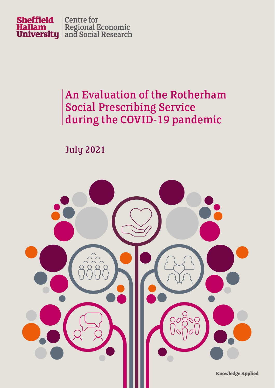

### An Evaluation of the Rotherham **Social Prescribing Service** during the COVID-19 pandemic

**July 2021** 

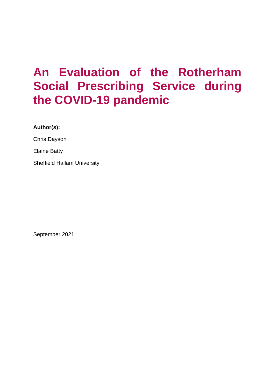## **An Evaluation of the Rotherham Social Prescribing Service during the COVID-19 pandemic**

**Author(s):**

Chris Dayson

Elaine Batty

Sheffield Hallam University

September 2021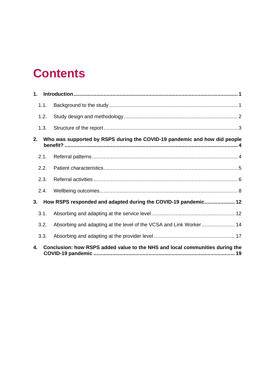## **Contents**

| 1. |                                                                              |                                                                     |  |  |  |
|----|------------------------------------------------------------------------------|---------------------------------------------------------------------|--|--|--|
|    | 1.1.                                                                         |                                                                     |  |  |  |
|    | 1.2.                                                                         |                                                                     |  |  |  |
|    | 1.3.                                                                         |                                                                     |  |  |  |
| 2. | Who was supported by RSPS during the COVID-19 pandemic and how did people    |                                                                     |  |  |  |
|    | 2.1.                                                                         |                                                                     |  |  |  |
|    | 2.2.                                                                         |                                                                     |  |  |  |
|    | 2.3.                                                                         |                                                                     |  |  |  |
|    | 2.4.                                                                         |                                                                     |  |  |  |
| 3. |                                                                              | How RSPS responded and adapted during the COVID-19 pandemic 12      |  |  |  |
|    | 3.1.                                                                         |                                                                     |  |  |  |
|    | 3.2.                                                                         | Absorbing and adapting at the level of the VCSA and Link Worker  14 |  |  |  |
|    | 3.3.                                                                         |                                                                     |  |  |  |
| 4. | Conclusion: how RSPS added value to the NHS and local communities during the |                                                                     |  |  |  |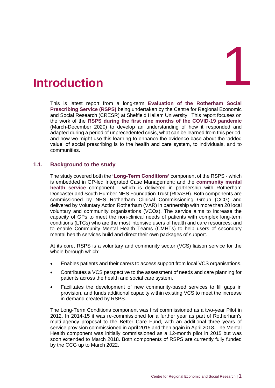<span id="page-3-0"></span>

This is latest report from a long-term **Evaluation of the Rotherham Social Prescribing Service (RSPS)** being undertaken by the Centre for Regional Economic and Social Research (CRESR) at Sheffield Hallam University. This report focuses on the work of the **RSPS during the first nine months of the COVID-19 pandemic** (March-December 2020) to develop an understanding of how it responded and adapted during a period of unprecedented crisis, what can be learned from this period, and how we might use this learning to enhance the evidence base about the 'added value' of social prescribing is to the health and care system, to individuals, and to communities.

#### <span id="page-3-1"></span>**1.1. Background to the study**

The study covered both the **'Long-Term Conditions'** component of the RSPS - which is embedded in GP-led Integrated Case Management; and the **community mental health service** component - which is delivered in partnership with Rotherham Doncaster and South Humber NHS Foundation Trust (RDASH). Both components are commissioned by NHS Rotherham Clinical Commissioning Group (CCG) and delivered by Voluntary Action Rotherham (VAR) in partnership with more than 20 local voluntary and community organisations (VCOs). The service aims to increase the capacity of GPs to meet the non-clinical needs of patients with complex long-term conditions (LTCs) who are the most intensive users of health and care resources; and to enable Community Mental Health Teams (CMHTs) to help users of secondary mental health services build and direct their own packages of support.

At its core, RSPS is a voluntary and community sector (VCS) liaison service for the whole borough which:

- Enables patients and their carers to access support from local VCS organisations.
- Contributes a VCS perspective to the assessment of needs and care planning for patients across the health and social care system.
- Facilitates the development of new community-based services to fill gaps in provision, and funds additional capacity within existing VCS to meet the increase in demand created by RSPS.

The Long-Term Conditions component was first commissioned as a two-year Pilot in 2012. In 2014-15 it was re-commissioned for a further year as part of Rotherham's multi-agency proposal to the Better Care Fund, with an additional three years of service provision commissioned in April 2015 and then again in April 2018. The Mental Health component was initially commissioned as a 12-month pilot in 2015 but was soon extended to March 2018. Both components of RSPS are currently fully funded by the CCG up to March 2022.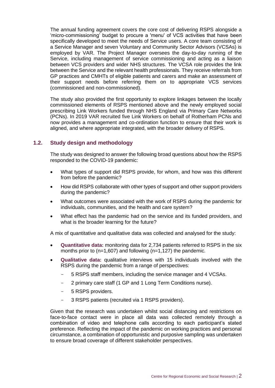The annual funding agreement covers the core cost of delivering RSPS alongside a 'micro-commissioning' budget to procure a 'menu' of VCS activities that have been specifically developed to meet the needs of Service users. A core team consisting of a Service Manager and seven Voluntary and Community Sector Advisors (VCSAs) is employed by VAR. The Project Manager oversees the day-to-day running of the Service, including management of service commissioning and acting as a liaison between VCS providers and wider NHS structures. The VCSA role provides the link between the Service and the relevant health professionals. They receive referrals from GP practices and CMHTs of eligible patients and carers and make an assessment of their support needs before referring them on to appropriate VCS services (commissioned and non-commissioned).

The study also provided the first opportunity to explore linkages between the locally commissioned elements of RSPS mentioned above and the newly employed social prescribing Link Workers funded through NHS England via Primary Care Networks (PCNs). In 2019 VAR recruited five Link Workers on behalf of Rotherham PCNs and now provides a management and co-ordination function to ensure that their work is aligned, and where appropriate integrated, with the broader delivery of RSPS.

#### <span id="page-4-0"></span>**1.2. Study design and methodology**

The study was designed to answer the following broad questions about how the RSPS responded to the COVID-19 pandemic:

- What types of support did RSPS provide, for whom, and how was this different from before the pandemic?
- How did RSPS collaborate with other types of support and other support providers during the pandemic?
- What outcomes were associated with the work of RSPS during the pandemic for individuals, communities, and the health and care system?
- What effect has the pandemic had on the service and its funded providers, and what is the broader learning for the future?

A mix of quantitative and qualitative data was collected and analysed for the study:

- **Quantitative data:** monitoring data for 2,734 patients referred to RSPS in the six months prior to (n=1,607) and following (n=1,127) the pandemic.
- **Qualitative data:** qualitative interviews with 15 individuals involved with the RSPS during the pandemic from a range of perspectives:
	- 5 RSPS staff members, including the service manager and 4 VCSAs.
	- 2 primary care staff (1 GP and 1 Long Term Conditions nurse).
	- 5 RSPS providers.
	- 3 RSPS patients (recruited via 1 RSPS providers).

Given that the research was undertaken whilst social distancing and restrictions on face-to-face contact were in place all data was collected remotely through a combination of video and telephone calls according to each participant's stated preference. Reflecting the impact of the pandemic on working practices and personal circumstance, a combination of opportunistic and purposive sampling was undertaken to ensure broad coverage of different stakeholder perspectives.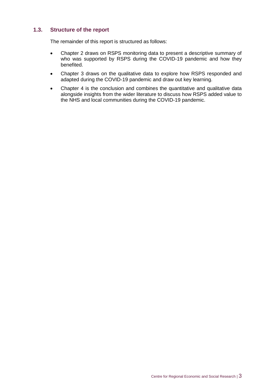#### <span id="page-5-0"></span>**1.3. Structure of the report**

The remainder of this report is structured as follows:

- Chapter 2 draws on RSPS monitoring data to present a descriptive summary of who was supported by RSPS during the COVID-19 pandemic and how they benefited.
- Chapter 3 draws on the qualitative data to explore how RSPS responded and adapted during the COVID-19 pandemic and draw out key learning.
- Chapter 4 is the conclusion and combines the quantitative and qualitative data alongside insights from the wider literature to discuss how RSPS added value to the NHS and local communities during the COVID-19 pandemic.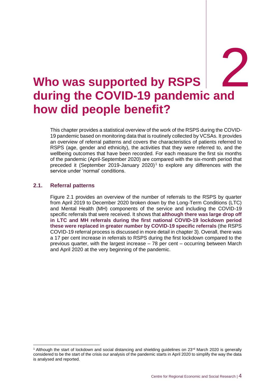## <span id="page-6-0"></span>**Who was supported by RSPS during the COVID-19 pandemic and**  2 **how did people benefit?**

This chapter provides a statistical overview of the work of the RSPS during the COVID-19 pandemic based on monitoring data that is routinely collected by VCSAs. It provides an overview of referral patterns and covers the characteristics of patients referred to RSPS (age, gender and ethnicity), the activities that they were referred to, and the wellbeing outcomes that have been recorded. For each measure the first six months of the pandemic (April-September 2020) are compared with the six-month period that preceded it (September 2019-January 2020)<sup>1</sup> to explore any differences with the service under 'normal' conditions.

#### <span id="page-6-1"></span>**2.1. Referral patterns**

Figure 2.1 provides an overview of the number of referrals to the RSPS by quarter from April 2019 to December 2020 broken down by the Long-Term Conditions (LTC) and Mental Health (MH) components of the service and including the COVID-19 specific referrals that were received. It shows that **although there was large drop off in LTC and MH referrals during the first national COVID-19 lockdown period these were replaced in greater number by COVID-19 specific referrals** (the RSPS COVID-19 referral process is discussed in more detail in chapter 3). Overall, there was a 17 per cent increase in referrals to RSPS during the first lockdown compared to the previous quarter, with the largest increase – 78 per cent – occurring between March and April 2020 at the very beginning of the pandemic.

<sup>&</sup>lt;sup>1</sup> Although the start of lockdown and social distancing and shielding guidelines on  $23<sup>rd</sup>$  March 2020 is generally considered to be the start of the crisis our analysis of the pandemic starts in April 2020 to simplify the way the data is analysed and reported.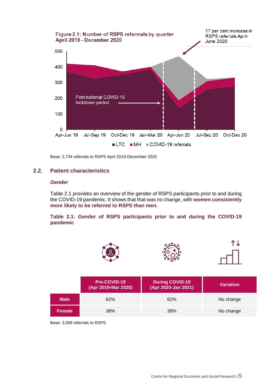

Base: 2,734 referrals to RSPS April 2019-December 2020

#### <span id="page-7-0"></span>**2.2. Patient characteristics**

#### *Gender*

Table 2.1 provides an overview of the gender of RSPS participants prior to and during the COVID-19 pandemic. It shows that that was no change, with **women consistently more likely to be referred to RSPS than men.**

#### **Table 2.1: Gender of RSPS participants prior to and during the COVID-19 pandemic**



Base: 3,009 referrals to RSPS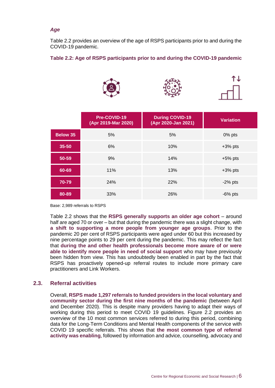#### *Age*

Table 2.2 provides an overview of the age of RSPS participants prior to and during the COVID-19 pandemic.

#### **Table 2.2: Age of RSPS participants prior to and during the COVID-19 pandemic**



|                 | Pre-COVID-19<br>(Apr 2019-Mar 2020) | <b>During COVID-19</b><br>(Apr 2020-Jan 2021) | <b>Variation</b> |
|-----------------|-------------------------------------|-----------------------------------------------|------------------|
| <b>Below 35</b> | 5%                                  | 5%                                            | 0% pts           |
| 35-50           | 6%                                  | 10%                                           | $+3\%$ pts       |
| 50-59           | 9%                                  | 14%                                           | $+5%$ pts        |
| 60-69           | 11%                                 | 13%                                           | $+3\%$ pts       |
| 70-79           | 24%                                 | 22%                                           | $-2\%$ pts       |
| 80-89           | 33%                                 | 26%                                           | $-6\%$ pts       |

Base: 2,989 referrals to RSPS

Table 2.2 shows that the **RSPS generally supports an older age cohort** – around half are aged 70 or over – but that during the pandemic there was a slight change, with **a shift to supporting a more people from younger age groups**. Prior to the pandemic 20 per cent of RSPS participants were aged under 60 but this increased by nine percentage points to 29 per cent during the pandemic. This may reflect the fact that **during the and other health professionals become more aware of or were able to identify more people in need of social support** who may have previously been hidden from view. This has undoubtedly been enabled in part by the fact that RSPS has proactively opened-up referral routes to include more primary care practitioners and Link Workers.

#### <span id="page-8-0"></span>**2.3. Referral activities**

Overall, **RSPS made 1,297 referrals to funded providers in the local voluntary and community sector during the first nine months of the pandemic** (between April and December 2020). This is despite many providers having to adapt their ways of working during this period to meet COVID 19 guidelines. Figure 2.2 provides an overview of the 10 most common services referred to during this period, combining data for the Long-Term Conditions and Mental Health components of the service with COVID 19 specific referrals. This shows that **the most common type of referral activity was enabling**, followed by information and advice, counselling, advocacy and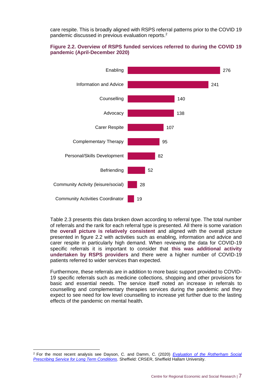care respite. This is broadly aligned with RSPS referral patterns prior to the COVID 19 pandemic discussed in previous evaluation reports. 2

#### **Figure 2.2. Overview of RSPS funded services referred to during the COVID 19 pandemic (April-December 2020)**



Table 2.3 presents this data broken down according to referral type. The total number of referrals and the rank for each referral type is presented. All there is some variation the **overall picture is relatively consistent** and aligned with the overall picture presented in figure 2.2 with activities such as enabling, information and advice and carer respite in particularly high demand. When reviewing the data for COVID-19 specific referrals it is important to consider that **this was additional activity undertaken by RSPS providers** and there were a higher number of COVID-19 patients referred to wider services than expected.

Furthermore, these referrals are in addition to more basic support provided to COVID-19 specific referrals such as medicine collections, shopping and other provisions for basic and essential needs. The service itself noted an increase in referrals to counselling and complementary therapies services during the pandemic and they expect to see need for low level counselling to increase yet further due to the lasting effects of the pandemic on mental health.

<sup>2</sup> For the most recent analysis see Dayson, C. and Damm, C. (2020) *[Evaluation of the Rotherham Social](https://www4.shu.ac.uk/research/cresr/sites/shu.ac.uk/files/eval-rotherham-social-prescribing-long-term-conditions-17-18.pdf)  [Prescribing Service for Long Term Conditions](https://www4.shu.ac.uk/research/cresr/sites/shu.ac.uk/files/eval-rotherham-social-prescribing-long-term-conditions-17-18.pdf)*. Sheffield: CRSER, Sheffield Hallam University.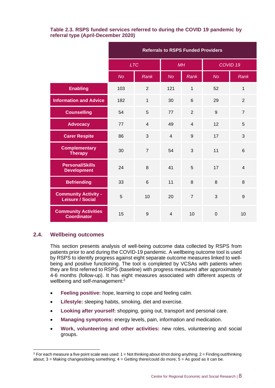#### **Table 2.3. RSPS funded services referred to during the COVID 19 pandemic by referral type (April-December 2020)**

|                                                        | <b>Referrals to RSPS Funded Providers</b> |                |                |                |                     |                |
|--------------------------------------------------------|-------------------------------------------|----------------|----------------|----------------|---------------------|----------------|
|                                                        | <b>LTC</b>                                |                | MH             |                | COVID <sub>19</sub> |                |
|                                                        | <b>No</b>                                 | <b>Rank</b>    | <b>No</b>      | <b>Rank</b>    | <b>No</b>           | <b>Rank</b>    |
| <b>Enabling</b>                                        | 103                                       | $\overline{2}$ | 121            | $\mathbf{1}$   | 52                  | 1              |
| <b>Information and Advice</b>                          | 182                                       | $\mathbf{1}$   | 30             | 6              | 29                  | $\overline{2}$ |
| <b>Counselling</b>                                     | 54                                        | 5              | 77             | $\overline{2}$ | 9                   | $\overline{7}$ |
| <b>Advocacy</b>                                        | 77                                        | $\overline{4}$ | 49             | $\overline{4}$ | 12                  | 5              |
| <b>Carer Respite</b>                                   | 86                                        | 3              | $\overline{4}$ | 9              | 17                  | 3              |
| <b>Complementary</b><br><b>Therapy</b>                 | 30                                        | $\overline{7}$ | 54             | 3              | 11                  | 6              |
| <b>Personal/Skills</b><br><b>Development</b>           | 24                                        | 8              | 41             | 5              | 17                  | $\overline{4}$ |
| <b>Befriending</b>                                     | 33                                        | $6\phantom{1}$ | 11             | 8              | 8                   | 8              |
| <b>Community Activity -</b><br><b>Leisure / Social</b> | 5                                         | 10             | 20             | $\overline{7}$ | 3                   | 9              |
| <b>Community Activities</b><br><b>Coordinator</b>      | 15                                        | 9              | $\overline{4}$ | 10             | $\mathbf 0$         | 10             |

#### <span id="page-10-0"></span>**2.4. Wellbeing outcomes**

This section presents analysis of well-being outcome data collected by RSPS from patients prior to and during the COVID-19 pandemic. A wellbeing outcome tool is used by RSPS to identify progress against eight separate outcome measures linked to wellbeing and positive functioning. The tool is completed by VCSAs with patients when they are first referred to RSPS (baseline) with progress measured after approximately 4-6 months (follow-up). It has eight measures associated with different aspects of wellbeing and self-management:<sup>3</sup>

- **Feeling positive:** hope, learning to cope and feeling calm.
- Lifestyle: sleeping habits, smoking, diet and exercise.
- **Looking after yourself:** shopping, going out, transport and personal care.
- **Managing symptoms:** energy levels, pain, information and medication.
- **Work, volunteering and other activities:** new roles, volunteering and social groups.

 $3$  For each measure a five point scale was used:  $1 =$  Not thinking about it/not doing anything;  $2 =$  Finding out/thinking about;  $3$  = Making changes/doing something;  $4$  = Getting there/could do more;  $5$  = As good as it can be.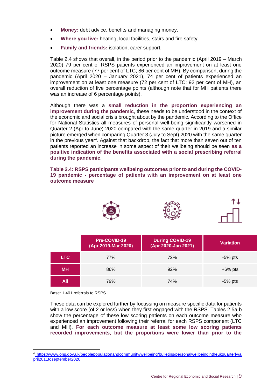- **Money:** debt advice, benefits and managing money.
- **Where you live:** heating, local facilities, stairs and fire safety.
- **Family and friends:** isolation, carer support.

Table 2.4 shows that overall, in the period prior to the pandemic (April 2019 – March 2020) 79 per cent of RSPS patients experienced an improvement on at least one outcome measure (77 per cent of LTC; 86 per cent of MH). By comparison, during the pandemic (April 2020 – January 2021), 74 per cent of patients experienced an improvement on at least one measure (72 per cent of LTC; 92 per cent of MH), an overall reduction of five percentage points (although note that for MH patients there was an increase of 6 percentage points).

Although there was a **small reduction in the proportion experiencing an improvement during the pandemic**, these needs to be understood in the context of the economic and social crisis brought about by the pandemic. According to the Office for National Statistics all measures of personal well-being significantly worsened in Quarter 2 (Apr to June) 2020 compared with the same quarter in 2019 and a similar picture emerged when comparing Quarter 3 (July to Sept) 2020 with the same quarter in the previous year<sup>4</sup>. Against that backdrop, the fact that more than seven out of ten patients reported an increase in some aspect of their wellbeing should be seen **as a positive indication of the benefits associated with a social prescribing referral during the pandemic**.

**Table 2.4: RSPS participants wellbeing outcomes prior to and during the COVID-19 pandemic - percentage of patients with an improvement on at least one outcome measure**



|           | Pre-COVID-19<br>(Apr 2019-Mar 2020) | <b>During COVID-19</b><br>(Apr 2020-Jan 2021) | <b>Variation</b> |
|-----------|-------------------------------------|-----------------------------------------------|------------------|
| LTC.      | 77%                                 | 72%                                           | -5% pts          |
| <b>MH</b> | 86%                                 | 92%                                           | $+6\%$ pts       |
| All       | 79%                                 | 74%                                           | $-5%$ pts        |

Base: 1,401 referrals to RSPS

These data can be explored further by focussing on measure specific data for patients with a low score (of 2 or less) when they first engaged with the RSPS. Tables 2.5a-b show the percentage of these low scoring patients on each outcome measure who experienced an improvement following their referral for each RSPS component (LTC and MH). **For each outcome measure at least some low scoring patients recorded improvements, but the proportions were lower than prior to the** 

<sup>4</sup> [https://www.ons.gov.uk/peoplepopulationandcommunity/wellbeing/bulletins/personalwellbeingintheukquarterly/a](https://www.ons.gov.uk/peoplepopulationandcommunity/wellbeing/bulletins/personalwellbeingintheukquarterly/april2011toseptember2020) [pril2011toseptember2020](https://www.ons.gov.uk/peoplepopulationandcommunity/wellbeing/bulletins/personalwellbeingintheukquarterly/april2011toseptember2020)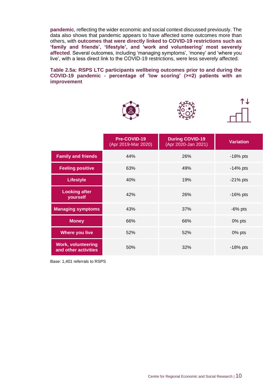**pandemic**, reflecting the wider economic and social context discussed previously. The data also shows that pandemic appears to have affected some outcomes more than others, with **outcomes that were directly linked to COVID-19 restrictions such as 'family and friends', 'lifestyle', and 'work and volunteering' most severely affected**. Several outcomes, including 'managing symptoms', 'money' and 'where you live', with a less direct link to the COVID-19 restrictions, were less severely affected.

#### **Table 2.5a: RSPS LTC participants wellbeing outcomes prior to and during the COVID-19 pandemic - percentage of 'low scoring' (>=2) patients with an improvement**







|                                                   | Pre-COVID-19<br>(Apr 2019-Mar 2020) | <b>During COVID-19</b><br>(Apr 2020-Jan 2021) | <b>Variation</b> |
|---------------------------------------------------|-------------------------------------|-----------------------------------------------|------------------|
| <b>Family and friends</b>                         | 44%                                 | 26%                                           | $-18%$ pts       |
| <b>Feeling positive</b>                           | 63%                                 | 49%                                           | $-14\%$ pts      |
| <b>Lifestyle</b>                                  | 40%                                 | 19%                                           | $-21\%$ pts      |
| <b>Looking after</b><br>yourself                  | 42%                                 | 26%                                           | $-16%$ pts       |
| <b>Managing symptoms</b>                          | 43%                                 | 37%                                           | $-6\%$ pts       |
| <b>Money</b>                                      | 66%                                 | 66%                                           | $0\%$ pts        |
| <b>Where you live</b>                             | 52%                                 | 52%                                           | 0% pts           |
| <b>Work, volunteering</b><br>and other activities | 50%                                 | 32%                                           | $-18%$ pts       |

Base: 1,401 referrals to RSPS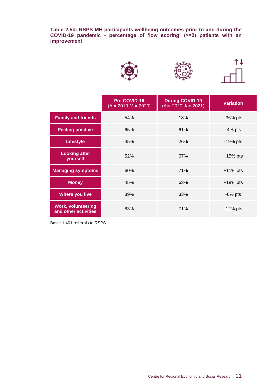**Table 2.5b: RSPS MH participants wellbeing outcomes prior to and during the COVID-19 pandemic - percentage of 'low scoring' (>=2) patients with an improvement**







|                                                   | Pre-COVID-19<br>(Apr 2019-Mar 2020) | <b>During COVID-19</b><br>(Apr 2020-Jan 2021) | <b>Variation</b> |
|---------------------------------------------------|-------------------------------------|-----------------------------------------------|------------------|
| <b>Family and friends</b>                         | 54%                                 | 18%                                           | $-36\%$ pts      |
| <b>Feeling positive</b>                           | 65%                                 | 61%                                           | $-4\%$ pts       |
| <b>Lifestyle</b>                                  | 45%                                 | 26%                                           | $-19%$ pts       |
| <b>Looking after</b><br>yourself                  | 52%                                 | 67%                                           | $+15%$ pts       |
| <b>Managing symptoms</b>                          | 60%                                 | 71%                                           | $+11\%$ pts      |
| <b>Money</b>                                      | 45%                                 | 63%                                           | $+18%$ pts       |
| <b>Where you live</b>                             | 39%                                 | 33%                                           | $-6\%$ pts       |
| <b>Work, volunteering</b><br>and other activities | 83%                                 | 71%                                           | $-12\%$ pts      |

Base: 1,401 referrals to RSPS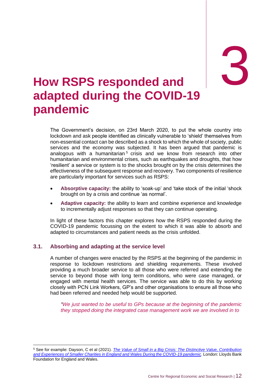# 3

## <span id="page-14-0"></span>3. **How RSPS responded and adapted during the COVID-19 pandemic**

The Government's decision, on 23rd March 2020, to put the whole country into lockdown and ask people identified as clinically vulnerable to 'shield' themselves from non-essential contact can be described as a shock to which the whole of society, public services and the economy was subjected. It has been argued that pandemic is analogous with a humanitarian<sup>5</sup> crisis and we know from research into other humanitarian and environmental crises, such as earthquakes and droughts, that how 'resilient' a service or system is to the shocks brought on by the crisis determines the effectiveness of the subsequent response and recovery. Two components of resilience are particularly important for services such as RSPS:

- **Absorptive capacity:** the ability to 'soak-up' and 'take stock of' the initial 'shock brought on by a crisis and continue 'as normal'.
- **Adaptive capacity:** the ability to learn and combine experience and knowledge to incrementally adjust responses so that they can continue operating.

In light of these factors this chapter explores how the RSPS responded during the COVID-19 pandemic focussing on the extent to which it was able to absorb and adapted to circumstances and patient needs as the crisis unfolded.

#### <span id="page-14-1"></span>**3.1. Absorbing and adapting at the service level**

A number of changes were enacted by the RSPS at the beginning of the pandemic in response to lockdown restrictions and shielding requirements. These involved providing a much broader service to all those who were referred and extending the service to beyond those with long term conditions, who were case managed, or engaged with mental health services. The service was able to do this by working closely with PCN Link Workers, GP's and other organisations to ensure all those who had been referred and needed help would be supported.

*"We just wanted to be useful to GPs because at the beginning of the pandemic they stopped doing the integrated case management work we are involved in to* 

<sup>5</sup> See for example: Dayson, C et al (2021). *[The Value of Small in a Big Crisis: The Distinctive Value, Contribution](https://www4.shu.ac.uk/research/cresr/sites/shu.ac.uk/files/value-small-big-crisis.pdf)  [and Experiences of Smaller Charities in England and Wales During the COVID-19 pandemic](https://www4.shu.ac.uk/research/cresr/sites/shu.ac.uk/files/value-small-big-crisis.pdf)*. London: Lloyds Bank Foundation for England and Wales.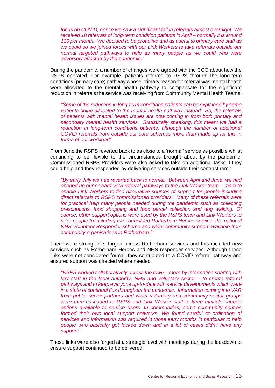*focus on COVID, hence we saw a significant fall in referrals almost overnight. We received 18 referrals of long-term condition patients in April – normally it is around 130 per month. We decided to be proactive and as useful to primary care staff as we could so we joined forces with our Link Workers to take referrals outside our normal targeted pathways to help as many people as we could who were adversely affected by the pandemic."*

During the pandemic, a number of changes were agreed with the CCG about how the RSPS operated. For example, patients referred to RSPS through the long-term conditions (primary care) pathway whose primary reason for referral was mental health were allocated to the mental health pathway to compensate for the significant reduction in referrals the service was receiving from Community Mental Health Teams.

*"Some of the reduction in long-term conditions patients can be explained by some patients being allocated to the mental health pathway instead'. So, the referrals of patients with mental health issues are now coming in from both primary and secondary mental health services. Statistically speaking, this meant we had a reduction in long-term conditions patients, although the number of additional COVID referrals from outside our core schemes more than made up for this in terms of our workload".*

From June the RSPS reverted back to as close to a 'normal' service as possible whilst continuing to be flexible to the circumstances brought about by the pandemic. Commissioned RSPS Providers were also asked to take on additional tasks if they could help and they responded by delivering services outside their contract remit.

*"By early July we had reverted back to normal. Between April and June, we had opened up our onward VCS referral pathways to the Link Worker team – more to enable Link Workers to find alternative sources of support for people including direct referrals to RSPS commissioned providers. Many of these referrals were for practical help many people needed during the pandemic such as collecting prescriptions, food shopping and food parcel collection and dog walking. Of course, other support options were used by the RSPS team and Link Workers to refer people to including the council-led Rotherham Heroes service, the national NHS Volunteer Responder scheme and wider community support available from community organisations in Rotherham."*

There were strong links forged across Rotherham services and this included new services such as Rotherham Heroes and NHS responder services. Although these links were not considered formal, they contributed to a COVID referral pathway and ensured support was directed where needed.

*"RSPS worked collaboratively across the town – more by information sharing with key staff in the local authority, NHS and voluntary sector – to create referral pathways and to keep everyone up-to-date with service developments which were in a state of continual flux throughout the pandemic. Information coming into VAR from public sector partners and wider voluntary and community sector groups were then cascaded to RSPS and Link Worker staff to keep multiple support options available to service users. In communities, some community centres formed their own local support networks. We found careful co-ordination of services and information was required in those early months in particular to help people who basically got locked down and in a lot of cases didn't have any support."*

These links were also forged at a strategic level with meetings during the lockdown to ensure support continued to be delivered.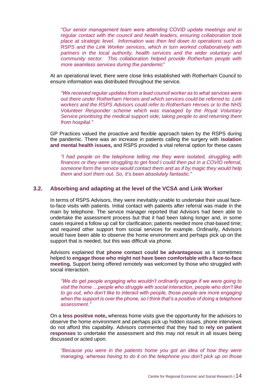*"Our senior management team were attending COVID update meetings and in regular contact with the council and health leaders, ensuring collaboration took place at strategic level. Information was then fed down to operations such as RSPS and the Link Worker services, which in turn worked collaboratively with partners in the local authority, health services and the wider voluntary and community sector. This collaboration helped provide Rotherham people with more seamless services during the pandemic"*

At an operational level, there were close links established with Rotherham Council to ensure information was distributed throughout the service.

*"We received regular updates from a lead council worker as to what services were out there under Rotherham Heroes and which services could be referred to. Link workers and the RSPS Advisors could refer to Rotherham Heroes or to the NHS Volunteer Responder scheme which was managed by the Royal Voluntary Service prioritising the medical support side, taking people to and returning them from hospital."*

GP Practices valued the proactive and flexible approach taken by the RSPS during the pandemic. There was an increase in patients calling the surgery with **isolation and mental health issues,** and RSPS provided a vital referral option for these cases

*"I had people on the telephone telling me they were isolated, struggling with finances or they were struggling to get food I could then put in a COVID referral, someone form the service would contact them and as if by magic they would help them and sort them out. So, it's been absolutely fantastic."*

#### <span id="page-16-0"></span>**3.2. Absorbing and adapting at the level of the VCSA and Link Worker**

In terms of RSPS Advisors, they were inevitably unable to undertake their usual faceto-face visits with patients. Initial contact with patients after referral was made in the main by telephone. The service manager reported that Advisors had been able to undertake the assessment process but that it had been taking longer and, in some cases required a follow up call for clarification; patients needed more chat-based time; and required other support from social services for example. Ordinarily, Advisors would have been able to observe the home environment and perhaps pick up on the support that is needed, but this was difficult via phone.

Advisors explained that **phone contact could be advantageous** as it sometimes helped to **engage those who might not have been comfortable with a face-to-face meeting.** Support being offered remotely was welcomed by those who struggled with social interaction.

*"We do get people engaging who wouldn't ordinarily engage if we were going to visit the home …people who struggle with social interaction, people who don't like to go out, who don't like to interact with people, those people are more engaging when the support is over the phone, so I think that's a positive of doing a telephone assessment."*

On a **less positive note,** whereas home visits give the opportunity for the advisors to observe the home environment and perhaps pick up hidden issues, phone interviews do not afford this capability. Advisors commented that they had to **rely on patient responses** to undertake the assessment and this may not result in all issues being discussed or acted upon.

*"Because you were in the patients home you got an idea of how they were managing, whereas having to do it on the telephone you don't pick up on those*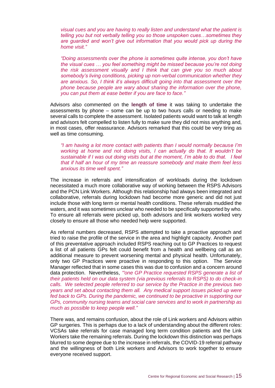*visual cues and you are having to really listen and understand what the patient is telling you but not verbally telling you so those unspoken cues…sometimes they are guarded and won't give out information that you would pick up during the home visit."*

*"Doing assessments over the phone is sometimes quite intense, you don't have the visual cues … you feel something might be missed because you're not doing the risk assessment visually and I think that can give you so much about somebody's living conditions, picking up non-verbal communication whether they are anxious. So, I think it's always difficult going into that assessment over the phone because people are wary about sharing the information over the phone, you can put them at ease better if you are face to face."*

Advisors also commented on the **length of time** it was taking to undertake the assessments by phone – some can be up to two hours calls or needing to make several calls to complete the assessment. Isolated patients would want to talk at length and advisors felt compelled to listen fully to make sure they did not miss anything and, in most cases, offer reassurance. Advisors remarked that this could be very tiring as well as time consuming.

*"I am having a lot more contact with patients than I would normally because I'm working at home and not doing visits, I can actually do that. It wouldn't be sustainable if I was out doing visits but at the moment, I'm able to do that. I feel that if half an hour of my time an reassure somebody and make them feel less anxious its time well spent."*

The increase in referrals and intensification of workloads during the lockdown necessitated a much more collaborative way of working between the RSPS Advisors and the PCN Link Workers. Although this relationship had always been integrated and collaborative, referrals during lockdown had become more generic and did not just include those with long term or mental health conditions. These referrals muddied the waters, and it was sometimes unclear who needed to be specifically supported by who. To ensure all referrals were picked up, both advisors and link workers worked very closely to ensure all those who needed help were supported.

As referral numbers decreased, RSPS attempted to take a proactive approach and tried to raise the profile of the service in the area and highlight capacity. Another part of this preventative approach included RSPS reaching out to GP Practices to request a list of all patients GPs felt could benefit from a health and wellbeing call as an additional measure to prevent worsening mental and physical health. Unfortunately, only two GP Practices were proactive in responding to this option. The Service Manager reflected that in some cases this was due to confusion and a concern around data protection. Nevertheless, *'"one GP Practice requested RSPS generate a list of their patients held on our data system (via previous referrals to RSPS) to do check-in calls. We selected people referred to our service by the Practice in the previous two years and set about contacting them all. Any medical support issues picked up were fed back to GPs. During the pandemic, we continued to be proactive in supporting our GPs, community nursing teams and social care services and to work in partnership as much as possible to keep people well."*

There was, and remains confusion, about the role of Link workers and Advisors within GP surgeries. This is perhaps due to a lack of understanding about the different roles: VCSAs take referrals for case managed long term condition patients and the Link Workers take the remaining referrals. During the lockdown this distinction was perhaps blurred to some degree due to the increase in referrals, the COVID-19 referral pathway and the willingness of both Link workers and Advisors to work together to ensure everyone received support.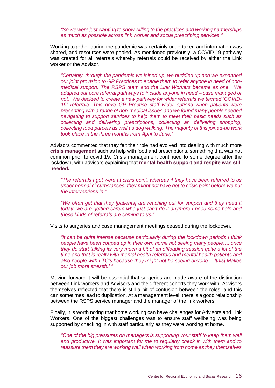*"So we were just wanting to show willing to the practices and working partnerships as much as possible across link worker and social prescribing services."*

Working together during the pandemic was certainly undertaken and information was shared, and resources were pooled. As mentioned previously, a COVID-19 pathway was created for all referrals whereby referrals could be received by either the Link worker or the Advisor.

*"Certainly, through the pandemic we joined up, we buddied up and we expanded our joint provision to GP Practices to enable them to refer anyone in need of nonmedical support. The RSPS team and the Link Workers became as one. We adapted our core referral pathways to include anyone in need – case managed or not. We decided to create a new pathway for wider referrals we termed 'COVID-19' referrals. This gave GP Practice staff wider options when patients were presenting with a range of non-medical issues and we found many people needed navigating to support services to help them to meet their basic needs such as collecting and delivering prescriptions, collecting an delivering shopping, collecting food parcels as well as dog walking. The majority of this joined-up work took place in the three months from April to June."*

Advisors commented that they felt their role had evolved into dealing with much more **crisis management** such as help with food and prescriptions, something that was not common prior to covid 19. Crisis management continued to some degree after the lockdown, with advisors explaining that **mental health support and respite was still needed.**

*"The referrals I got were at crisis point, whereas if they have been referred to us under normal circumstances, they might not have got to crisis point before we put the interventions in."*

*"We often get that they [patients] are reaching out for support and they need it today, we are getting carers who just can't do it anymore I need some help and those kinds of referrals are coming to us."*

Visits to surgeries and case management meetings ceased during the lockdown.

*"It can be quite intense because particularly during the lockdown periods I think people have been couped up in their own home not seeing many people…. once they do start talking its very much a bit of an offloading session quite a lot of the time and that is really with mental health referrals and mental health patients and also people with LTC's because they might not be seeing anyone… [this] Makes our job more stressful."*

Moving forward it will be essential that surgeries are made aware of the distinction between Link workers and Advisors and the different cohorts they work with. Advisors themselves reflected that there is still a bit of confusion between the roles, and this can sometimes lead to duplication. At a management level, there is a good relationship between the RSPS service manager and the manager of the link workers.

Finally, it is worth noting that home working can have challenges for Advisors and Link Workers. One of the biggest challenges was to ensure staff wellbeing was being supported by checking in with staff particularly as they were working at home.

"One of the big pressures on managers is supporting your staff to keep them well *and productive. It was important for me to regularly check in with them and to reassure them they are working well when working from home as they themselves*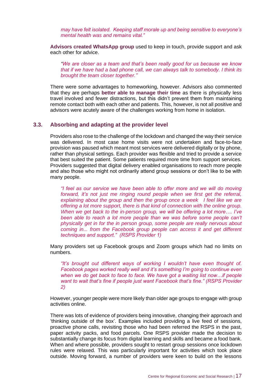*may have felt isolated. Keeping staff morale up and being sensitive to everyone's mental health was and remains vital."*

**Advisors created WhatsApp group** used to keep in touch, provide support and ask each other for advice.

*"We are closer as a team and that's been really good for us because we know that if we have had a bad phone call, we can always talk to somebody. I think its brought the team closer together."*

There were some advantages to homeworking, however. Advisors also commented that they are perhaps **better able to manage their time** as there is physically less travel involved and fewer distractions, but this didn't prevent them from maintaining remote contact both with each other and patients. This, however, is not all positive and advisors were acutely aware of the challenges working from home in isolation.

#### <span id="page-19-0"></span>**3.3. Absorbing and adapting at the provider level**

Providers also rose to the challenge of the lockdown and changed the way their service was delivered. In most case home visits were not undertaken and face-to-face provision was paused which meant most services were delivered digitally or by phone, rather than physical settings. Each provider was flexible and tried to provide a service that best suited the patient. Some patients required more time from support services. Providers suggested that digital delivery enabled organisations to reach more people and also those who might not ordinarily attend group sessions or don't like to be with many people.

*"I feel as our service we have been able to offer more and we will do moving forward, it's not just me ringing round people when we first get the referral, explaining about the group and then the group once a week I feel like we are offering a lot more support, there is that kind of connection with the online group. When we get back to the in-person group, we will be offering a lot more…. I've*  been able to reach a lot more people than we was before some people can't *physically get in for the in person group, some people are really nervous about coming in... from the Facebook group people can access it and get different techniques and support." (RSPS Provider 1)*

Many providers set up Facebook groups and Zoom groups which had no limits on numbers.

*"It's brought out different ways of working I wouldn't have even thought of. Facebook pages worked really well and it's something I'm going to continue even when we do get back to face to face. We have got a waiting list now…if people want to wait that's fine if people just want Facebook that's fine." (RSPS Provider 2)*

However, younger people were more likely than older age groups to engage with group activities online.

There was lots of evidence of providers being innovative, changing their approach and 'thinking outside of the box'. Examples included providing a live feed of sessions, proactive phone calls, revisiting those who had been referred the RSPS in the past, paper activity packs, and food parcels. One RSPS provider made the decision to substantially change its focus from digital learning and skills and became a food bank. When and where possible, providers sought to restart group sessions once lockdown rules were relaxed. This was particularly important for activities which took place outside. Moving forward, a number of providers were keen to build on the lessons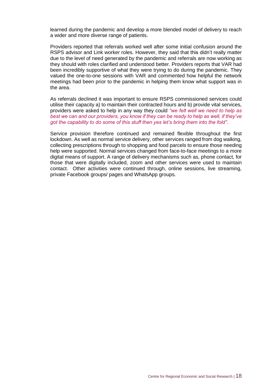learned during the pandemic and develop a more blended model of delivery to reach a wider and more diverse range of patients.

Providers reported that referrals worked well after some initial confusion around the RSPS advisor and Link worker roles. However, they said that this didn't really matter due to the level of need generated by the pandemic and referrals are now working as they should with roles clarified and understood better. Providers reports that VAR had been incredibly supportive of what they were trying to do during the pandemic. They valued the one-to-one sessions with VAR and commented how helpful the network meetings had been prior to the pandemic in helping them know what support was in the area.

As referrals declined it was important to ensure RSPS commissioned services could utilise their capacity a) to maintain their contracted hours and b) provide vital services, providers were asked to help in any way they could *"we felt well we need to help as best we can and our providers, you know if they can be ready to help as well, if they've got the capability to do some of this stuff then yes let's bring them into the fold"*.

Service provision therefore continued and remained flexible throughout the first lockdown. As well as normal service delivery, other services ranged from dog walking, collecting prescriptions through to shopping and food parcels to ensure those needing help were supported. Normal services changed from face-to-face meetings to a more digital means of support. A range of delivery mechanisms such as, phone contact, for those that were digitally included, zoom and other services were used to maintain contact. Other activities were continued through, online sessions, live streaming, private Facebook groups/ pages and WhatsApp groups.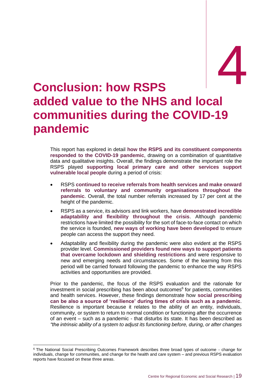## <span id="page-21-0"></span>experience **1 added value to the NHS and local communities during the COVID-19 pandemic**

This report has explored in detail **how the RSPS and its constituent components responded to the COVID-19 pandemic**, drawing on a combination of quantitative data and qualitative insights. Overall, the findings demonstrate the important role the RSPS played **supporting local primary care and other services support vulnerable local people** during a period of crisis:

- RSPS **continued to receive referrals from health services and make onward referrals to voluntary and community organisations throughout the pandemic**. Overall, the total number referrals increased by 17 per cent at the height of the pandemic.
- RSPS as a service, its advisors and link workers, have **demonstrated incredible adaptability and flexibility throughout the crisis**. Although pandemic restrictions have limited the possibility for the sort of face-to-face contact on which the service is founded, **new ways of working have been developed** to ensure people can access the support they need.
- Adaptability and flexibility during the pandemic were also evident at the RSPS provider level. **Commissioned providers found new ways to support patients that overcame lockdown and shielding restrictions** and were responsive to new and emerging needs and circumstances. Some of the learning from this period will be carried forward following the pandemic to enhance the way RSPS activities and opportunities are provided.

Prior to the pandemic, the focus of the RSPS evaluation and the rationale for investment in social prescribing has been about outcomes<sup>6</sup> for patients, communities and health services. However, these findings demonstrate how **social prescribing can be also a source of 'resilience' during times of crisis such as a pandemic**. Resilience is important because it relates to the ability of an entity, individuals, community, or system to return to normal condition or functioning after the occurrence of an event – such as a pandemic - that disturbs its state. It has been described as *"the intrinsic ability of a system to adjust its functioning before, during, or after changes*

<sup>6</sup> The National Social Prescribing Outcomes Framework describes three broad types of outcome - change for individuals, change for communities, and change for the health and care system – and previous RSPS evaluation reports have focussed on these three areas.